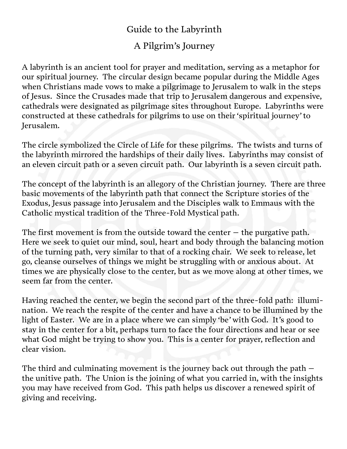## Guide to the Labyrinth

## A Pilgrim's Journey

A labyrinth is an ancient tool for prayer and meditation, serving as a metaphor for our spiritual journey. The circular design became popular during the Middle Ages when Christians made vows to make a pilgrimage to Jerusalem to walk in the steps of Jesus. Since the Crusades made that trip to Jerusalem dangerous and expensive, cathedrals were designated as pilgrimage sites throughout Europe. Labyrinths were constructed at these cathedrals for pilgrims to use on their 'spiritual journey' to Jerusalem.

The circle symbolized the Circle of Life for these pilgrims. The twists and turns of the labyrinth mirrored the hardships of their daily lives. Labyrinths may consist of an eleven circuit path or a seven circuit path. Our labyrinth is a seven circuit path.

The concept of the labyrinth is an allegory of the Christian journey. There are three basic movements of the labyrinth path that connect the Scripture stories of the Exodus, Jesus passage into Jerusalem and the Disciples walk to Emmaus with the Catholic mystical tradition of the Three-Fold Mystical path.

The first movement is from the outside toward the center  $-$  the purgative path. Here we seek to quiet our mind, soul, heart and body through the balancing motion of the turning path, very similar to that of a rocking chair. We seek to release, let go, cleanse ourselves of things we might be struggling with or anxious about. At times we are physically close to the center, but as we move along at other times, we seem far from the center.

Having reached the center, we begin the second part of the three-fold path: illumination. We reach the respite of the center and have a chance to be illumined by the light of Easter. We are in a place where we can simply 'be' with God. It's good to stay in the center for a bit, perhaps turn to face the four directions and hear or see what God might be trying to show you. This is a center for prayer, reflection and clear vision.

The third and culminating movement is the journey back out through the path – the unitive path. The Union is the joining of what you carried in, with the insights you may have received from God. This path helps us discover a renewed spirit of giving and receiving.